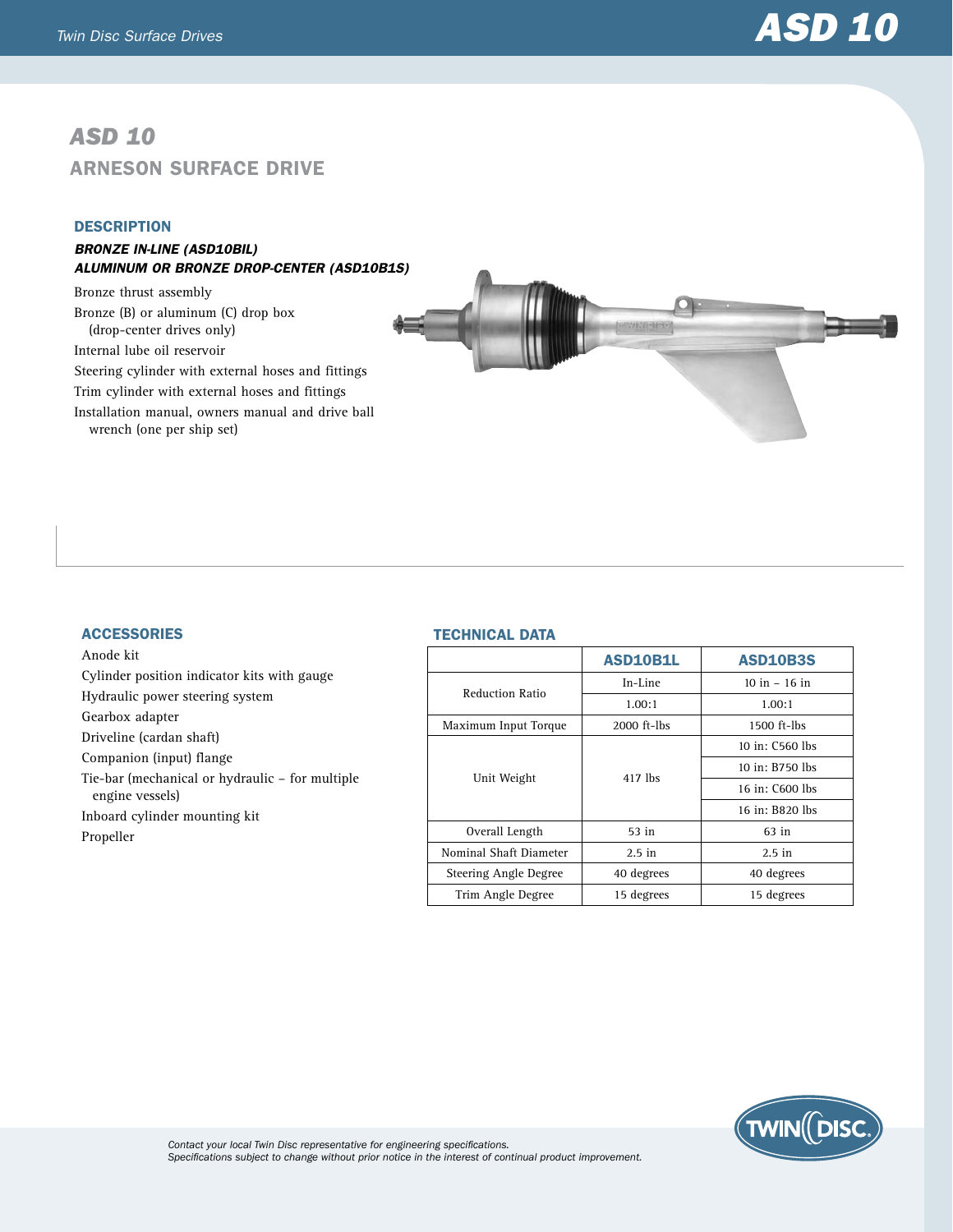## *ASD 10* Arneson Surface Drive

## **DESCRIPTION**

**ACCESSORIES** 

Gearbox adapter Driveline (cardan shaft) Companion (input) flange

engine vessels)

Propeller

Anode kit

## *Bronze in-line (ASD10BIL) Aluminum OR Bronze drop-center (ASD10B1S)*

Bronze thrust assembly Bronze (B) or aluminum (C) drop box (drop-center drives only) Internal lube oil reservoir Steering cylinder with external hoses and fittings Trim cylinder with external hoses and fittings Installation manual, owners manual and drive ball wrench (one per ship set)

Cylinder position indicator kits with gauge

Tie-bar (mechanical or hydraulic – for multiple

Hydraulic power steering system

Inboard cylinder mounting kit



| ASD10B1L      | <b>ASD10B3S</b> |
|---------------|-----------------|
| In-Line       | $10 in - 16 in$ |
| 1.00:1        | 1.00:1          |
| $2000$ ft-lbs | $1500$ ft-lbs   |
|               | 10 in: C560 lbs |
|               | 10 in: B750 lbs |
|               | 16 in: C600 lbs |
|               | 16 in: B820 lbs |
| $53$ in       | 63 in           |
| $2.5$ in      | $2.5$ in        |
| 40 degrees    | 40 degrees      |
| 15 degrees    | 15 degrees      |
|               | 417 lbs         |



*Contact your local Twin Disc representative for engineering specifications. Specifications subject to change without prior notice in the interest of continual product improvement.*